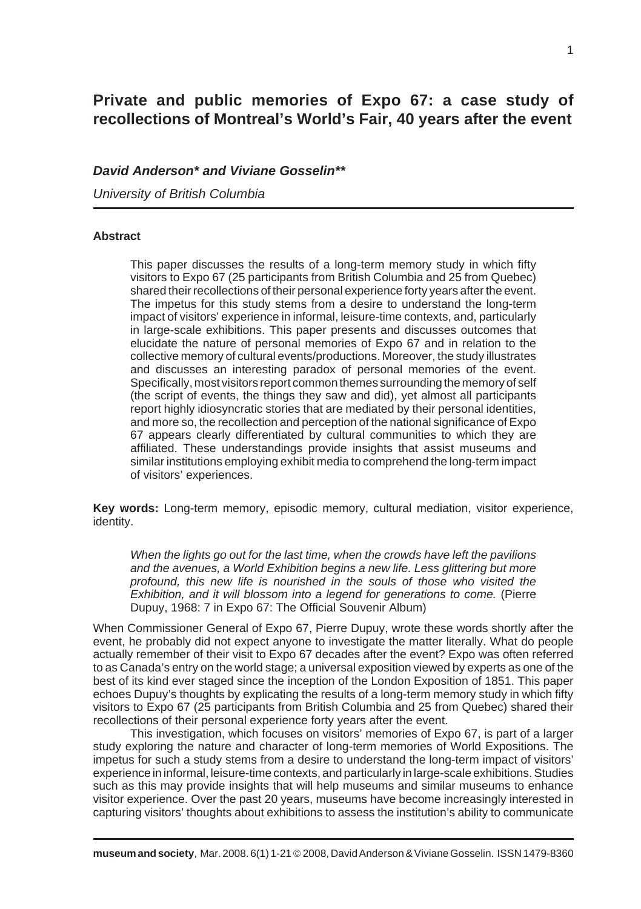# **Private and public memories of Expo 67: a case study of recollections of Montreal's World's Fair, 40 years after the event**

# *David Anderson\* and Viviane Gosselin\*\**

*University of British Columbia*

## **Abstract**

This paper discusses the results of a long-term memory study in which fifty visitors to Expo 67 (25 participants from British Columbia and 25 from Quebec) shared their recollections of their personal experience forty years after the event. The impetus for this study stems from a desire to understand the long-term impact of visitors' experience in informal, leisure-time contexts, and, particularly in large-scale exhibitions. This paper presents and discusses outcomes that elucidate the nature of personal memories of Expo 67 and in relation to the collective memory of cultural events/productions. Moreover, the study illustrates and discusses an interesting paradox of personal memories of the event. Specifically, most visitors report common themes surrounding the memory of self (the script of events, the things they saw and did), yet almost all participants report highly idiosyncratic stories that are mediated by their personal identities, and more so, the recollection and perception of the national significance of Expo 67 appears clearly differentiated by cultural communities to which they are affiliated. These understandings provide insights that assist museums and similar institutions employing exhibit media to comprehend the long-term impact of visitors' experiences.

**Key words:** Long-term memory, episodic memory, cultural mediation, visitor experience, identity.

*When the lights go out for the last time, when the crowds have left the pavilions and the avenues, a World Exhibition begins a new life. Less glittering but more profound, this new life is nourished in the souls of those who visited the Exhibition, and it will blossom into a legend for generations to come.* (Pierre Dupuy, 1968: 7 in Expo 67: The Official Souvenir Album)

When Commissioner General of Expo 67, Pierre Dupuy, wrote these words shortly after the event, he probably did not expect anyone to investigate the matter literally. What do people actually remember of their visit to Expo 67 decades after the event? Expo was often referred to as Canada's entry on the world stage; a universal exposition viewed by experts as one of the best of its kind ever staged since the inception of the London Exposition of 1851. This paper echoes Dupuy's thoughts by explicating the results of a long-term memory study in which fifty visitors to Expo 67 (25 participants from British Columbia and 25 from Quebec) shared their recollections of their personal experience forty years after the event.

This investigation, which focuses on visitors' memories of Expo 67, is part of a larger study exploring the nature and character of long-term memories of World Expositions. The impetus for such a study stems from a desire to understand the long-term impact of visitors' experience in informal, leisure-time contexts, and particularly in large-scale exhibitions. Studies such as this may provide insights that will help museums and similar museums to enhance visitor experience. Over the past 20 years, museums have become increasingly interested in capturing visitors' thoughts about exhibitions to assess the institution's ability to communicate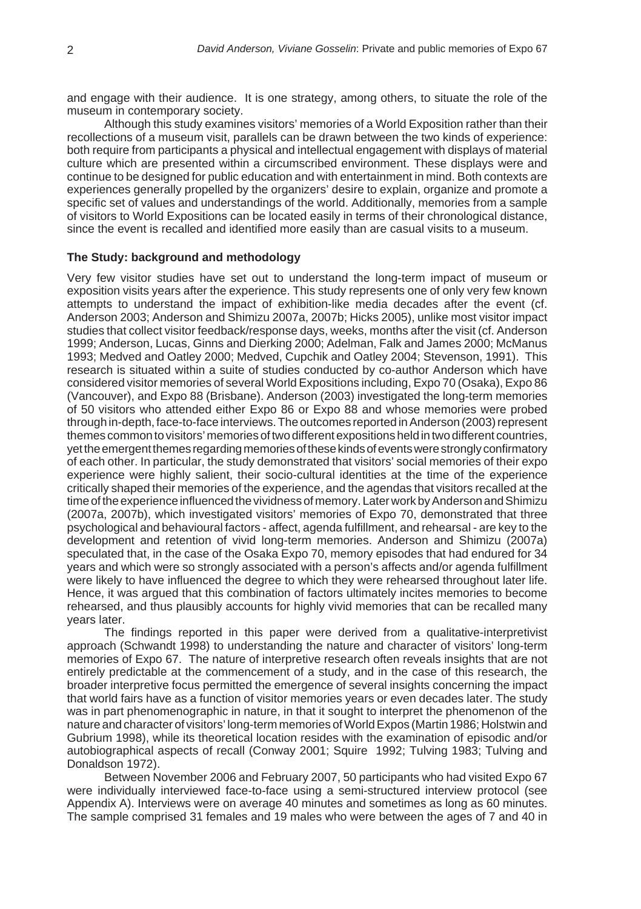and engage with their audience. It is one strategy, among others, to situate the role of the museum in contemporary society.

Although this study examines visitors' memories of a World Exposition rather than their recollections of a museum visit, parallels can be drawn between the two kinds of experience: both require from participants a physical and intellectual engagement with displays of material culture which are presented within a circumscribed environment. These displays were and continue to be designed for public education and with entertainment in mind. Both contexts are experiences generally propelled by the organizers' desire to explain, organize and promote a specific set of values and understandings of the world. Additionally, memories from a sample of visitors to World Expositions can be located easily in terms of their chronological distance, since the event is recalled and identified more easily than are casual visits to a museum.

#### **The Study: background and methodology**

Very few visitor studies have set out to understand the long-term impact of museum or exposition visits years after the experience. This study represents one of only very few known attempts to understand the impact of exhibition-like media decades after the event (cf. Anderson 2003; Anderson and Shimizu 2007a, 2007b; Hicks 2005), unlike most visitor impact studies that collect visitor feedback/response days, weeks, months after the visit (cf. Anderson 1999; Anderson, Lucas, Ginns and Dierking 2000; Adelman, Falk and James 2000; McManus 1993; Medved and Oatley 2000; Medved, Cupchik and Oatley 2004; Stevenson, 1991). This research is situated within a suite of studies conducted by co-author Anderson which have considered visitor memories of several World Expositions including, Expo 70 (Osaka), Expo 86 (Vancouver), and Expo 88 (Brisbane). Anderson (2003) investigated the long-term memories of 50 visitors who attended either Expo 86 or Expo 88 and whose memories were probed through in-depth, face-to-face interviews. The outcomes reported in Anderson (2003) represent themes common to visitors' memories of two different expositions held in two different countries, yet the emergent themes regarding memories of these kinds of events were strongly confirmatory of each other. In particular, the study demonstrated that visitors' social memories of their expo experience were highly salient, their socio-cultural identities at the time of the experience critically shaped their memories of the experience, and the agendas that visitors recalled at the time of the experience influenced the vividness of memory. Later work by Anderson and Shimizu (2007a, 2007b), which investigated visitors' memories of Expo 70, demonstrated that three psychological and behavioural factors - affect, agenda fulfillment, and rehearsal - are key to the development and retention of vivid long-term memories. Anderson and Shimizu (2007a) speculated that, in the case of the Osaka Expo 70, memory episodes that had endured for 34 years and which were so strongly associated with a person's affects and/or agenda fulfillment were likely to have influenced the degree to which they were rehearsed throughout later life. Hence, it was argued that this combination of factors ultimately incites memories to become rehearsed, and thus plausibly accounts for highly vivid memories that can be recalled many years later.

The findings reported in this paper were derived from a qualitative-interpretivist approach (Schwandt 1998) to understanding the nature and character of visitors' long-term memories of Expo 67. The nature of interpretive research often reveals insights that are not entirely predictable at the commencement of a study, and in the case of this research, the broader interpretive focus permitted the emergence of several insights concerning the impact that world fairs have as a function of visitor memories years or even decades later. The study was in part phenomenographic in nature, in that it sought to interpret the phenomenon of the nature and character of visitors' long-term memories of World Expos (Martin 1986; Holstwin and Gubrium 1998), while its theoretical location resides with the examination of episodic and/or autobiographical aspects of recall (Conway 2001; Squire 1992; Tulving 1983; Tulving and Donaldson 1972).

Between November 2006 and February 2007, 50 participants who had visited Expo 67 were individually interviewed face-to-face using a semi-structured interview protocol (see Appendix A). Interviews were on average 40 minutes and sometimes as long as 60 minutes. The sample comprised 31 females and 19 males who were between the ages of 7 and 40 in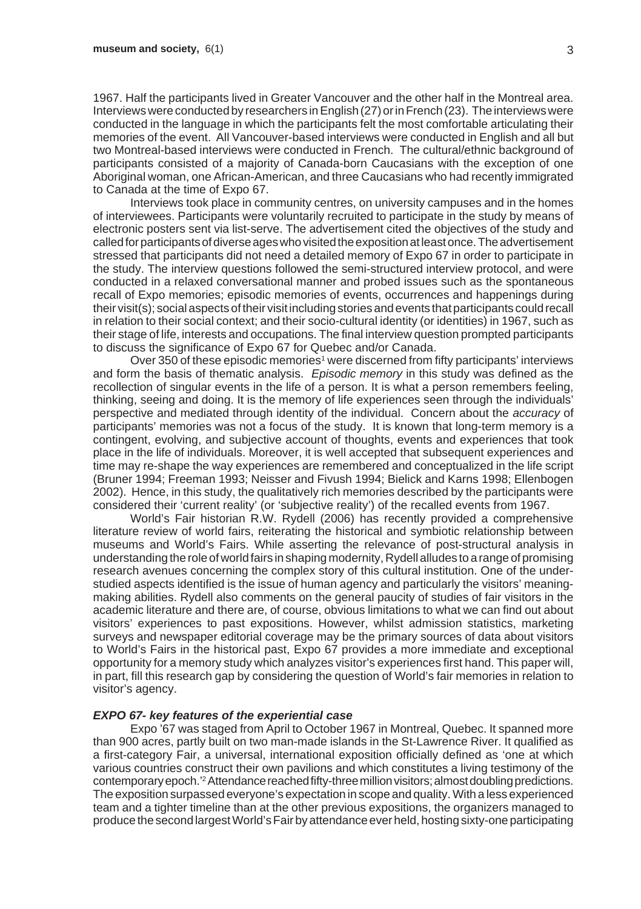1967. Half the participants lived in Greater Vancouver and the other half in the Montreal area. Interviews were conducted by researchers in English (27) or in French (23). The interviews were conducted in the language in which the participants felt the most comfortable articulating their memories of the event. All Vancouver-based interviews were conducted in English and all but two Montreal-based interviews were conducted in French. The cultural/ethnic background of participants consisted of a majority of Canada-born Caucasians with the exception of one Aboriginal woman, one African-American, and three Caucasians who had recently immigrated to Canada at the time of Expo 67.

Interviews took place in community centres, on university campuses and in the homes of interviewees. Participants were voluntarily recruited to participate in the study by means of electronic posters sent via list-serve. The advertisement cited the objectives of the study and called for participants of diverse ages who visited the exposition at least once. The advertisement stressed that participants did not need a detailed memory of Expo 67 in order to participate in the study. The interview questions followed the semi-structured interview protocol, and were conducted in a relaxed conversational manner and probed issues such as the spontaneous recall of Expo memories; episodic memories of events, occurrences and happenings during their visit(s); social aspects of their visit including stories and events that participants could recall in relation to their social context; and their socio-cultural identity (or identities) in 1967, such as their stage of life, interests and occupations. The final interview question prompted participants to discuss the significance of Expo 67 for Quebec and/or Canada.

Over 350 of these episodic memories<sup>1</sup> were discerned from fifty participants' interviews and form the basis of thematic analysis. *Episodic memory* in this study was defined as the recollection of singular events in the life of a person. It is what a person remembers feeling, thinking, seeing and doing. It is the memory of life experiences seen through the individuals' perspective and mediated through identity of the individual. Concern about the *accuracy* of participants' memories was not a focus of the study. It is known that long-term memory is a contingent. evolving, and subjective account of thoughts, events and experiences that took place in the life of individuals. Moreover, it is well accepted that subsequent experiences and time may re-shape the way experiences are remembered and conceptualized in the life script (Bruner 1994; Freeman 1993; Neisser and Fivush 1994; Bielick and Karns 1998; Ellenbogen 2002). Hence, in this study, the qualitatively rich memories described by the participants were considered their 'current reality' (or 'subjective reality') of the recalled events from 1967.

World's Fair historian R.W. Rydell (2006) has recently provided a comprehensive literature review of world fairs, reiterating the historical and symbiotic relationship between museums and World's Fairs. While asserting the relevance of post-structural analysis in understanding the role of world fairs in shaping modernity, Rydell alludes to a range of promising research avenues concerning the complex story of this cultural institution. One of the understudied aspects identified is the issue of human agency and particularly the visitors' meaningmaking abilities. Rydell also comments on the general paucity of studies of fair visitors in the academic literature and there are, of course, obvious limitations to what we can find out about visitors' experiences to past expositions. However, whilst admission statistics, marketing surveys and newspaper editorial coverage may be the primary sources of data about visitors to World's Fairs in the historical past, Expo 67 provides a more immediate and exceptional opportunity for a memory study which analyzes visitor's experiences first hand. This paper will, in part, fill this research gap by considering the question of World's fair memories in relation to visitor's agency.

#### *EXPO 67- key features of the experiential case*

Expo '67 was staged from April to October 1967 in Montreal, Quebec. It spanned more than 900 acres, partly built on two man-made islands in the St-Lawrence River. It qualified as a first-category Fair, a universal, international exposition officially defined as 'one at which various countries construct their own pavilions and which constitutes a living testimony of the contemporary epoch.'2 Attendance reached fifty-three million visitors; almost doubling predictions. The exposition surpassed everyone's expectation in scope and quality. With a less experienced team and a tighter timeline than at the other previous expositions, the organizers managed to produce the second largest World's Fair by attendance ever held, hosting sixty-one participating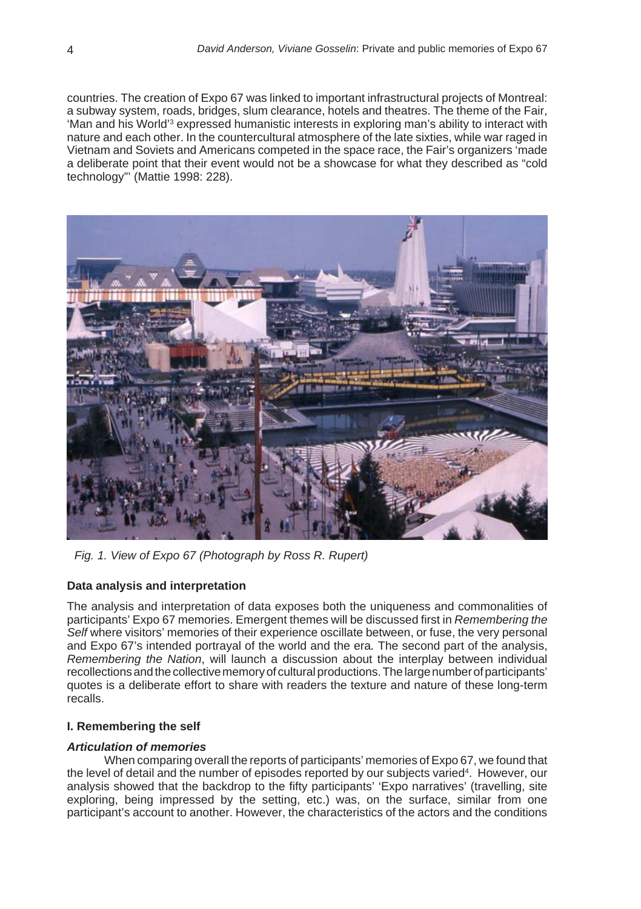countries. The creation of Expo 67 was linked to important infrastructural projects of Montreal: a subway system, roads, bridges, slum clearance, hotels and theatres. The theme of the Fair, 'Man and his World'<sup>3</sup> expressed humanistic interests in exploring man's ability to interact with nature and each other. In the countercultural atmosphere of the late sixties, while war raged in Vietnam and Soviets and Americans competed in the space race, the Fair's organizers 'made a deliberate point that their event would not be a showcase for what they described as "cold technology"' (Mattie 1998: 228).



*Fig. 1. View of Expo 67 (Photograph by Ross R. Rupert)*

#### **Data analysis and interpretation**

The analysis and interpretation of data exposes both the uniqueness and commonalities of participants' Expo 67 memories. Emergent themes will be discussed first in *Remembering the Self* where visitors' memories of their experience oscillate between, or fuse, the very personal and Expo 67's intended portrayal of the world and the era*.* The second part of the analysis, *Remembering the Nation*, will launch a discussion about the interplay between individual recollections and the collective memory of cultural productions. The large number of participants' quotes is a deliberate effort to share with readers the texture and nature of these long-term recalls.

#### **I. Remembering the self**

#### *Articulation of memories*

When comparing overall the reports of participants' memories of Expo 67, we found that the level of detail and the number of episodes reported by our subjects varied<sup>4</sup>. However, our analysis showed that the backdrop to the fifty participants' 'Expo narratives' (travelling, site exploring, being impressed by the setting, etc.) was, on the surface, similar from one participant's account to another. However, the characteristics of the actors and the conditions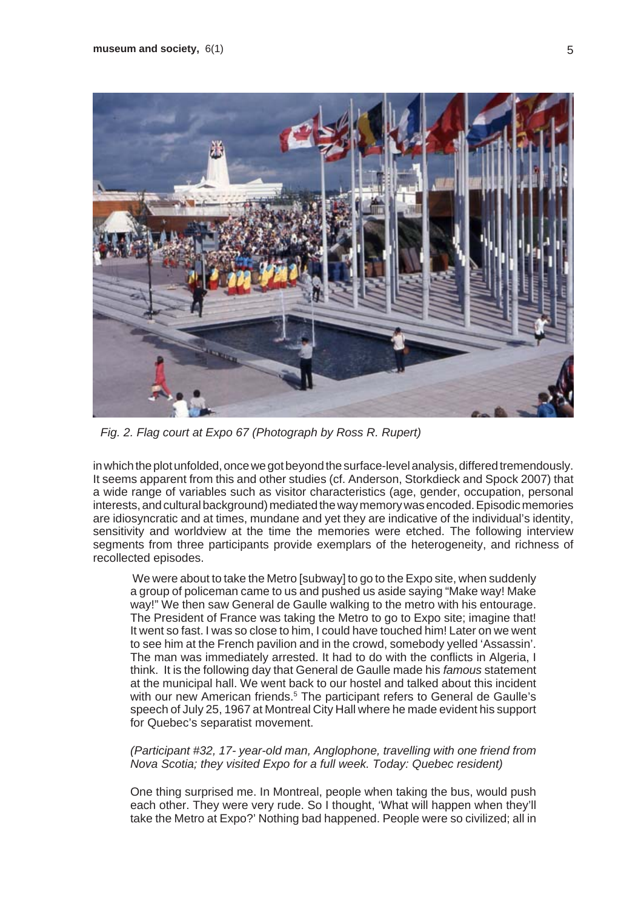

*Fig. 2. Flag court at Expo 67 (Photograph by Ross R. Rupert)*

in which the plot unfolded, once we got beyond the surface-level analysis, differed tremendously. It seems apparent from this and other studies (cf. Anderson, Storkdieck and Spock 2007) that a wide range of variables such as visitor characteristics (age, gender, occupation, personal interests, and cultural background) mediated the way memory was encoded. Episodic memories are idiosyncratic and at times, mundane and yet they are indicative of the individual's identity, sensitivity and worldview at the time the memories were etched. The following interview segments from three participants provide exemplars of the heterogeneity, and richness of recollected episodes.

We were about to take the Metro [subway] to go to the Expo site, when suddenly a group of policeman came to us and pushed us aside saying "Make way! Make way!" We then saw General de Gaulle walking to the metro with his entourage. The President of France was taking the Metro to go to Expo site; imagine that! It went so fast. I was so close to him, I could have touched him! Later on we went to see him at the French pavilion and in the crowd, somebody yelled 'Assassin'. The man was immediately arrested. It had to do with the conflicts in Algeria, I think. It is the following day that General de Gaulle made his *famous* statement at the municipal hall. We went back to our hostel and talked about this incident with our new American friends.<sup>5</sup> The participant refers to General de Gaulle's speech of July 25, 1967 at Montreal City Hall where he made evident his support for Quebec's separatist movement.

*(Participant #32, 17- year-old man, Anglophone, travelling with one friend from Nova Scotia; they visited Expo for a full week. Today: Quebec resident)*

One thing surprised me. In Montreal, people when taking the bus, would push each other. They were very rude. So I thought, 'What will happen when they'll take the Metro at Expo?' Nothing bad happened. People were so civilized; all in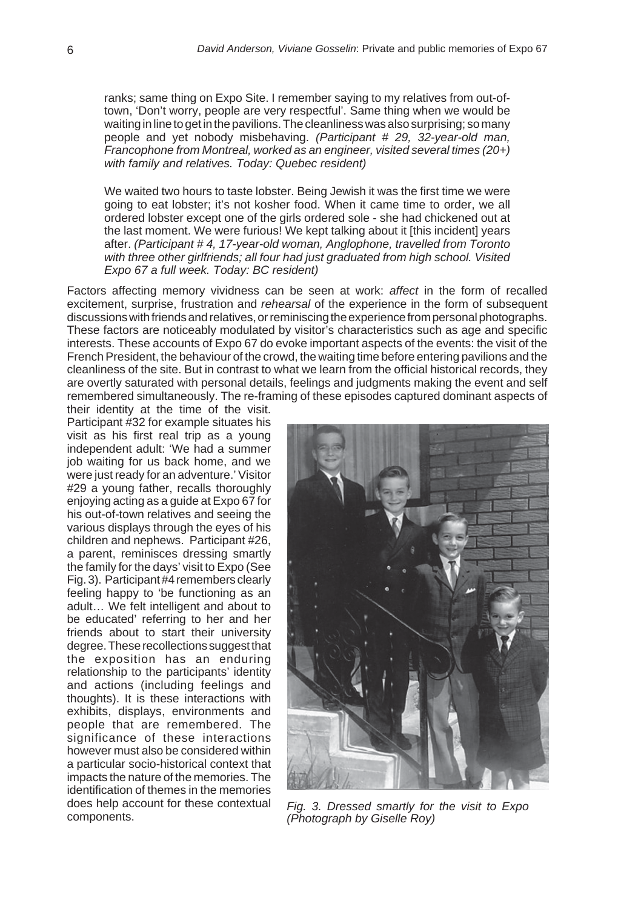ranks; same thing on Expo Site. I remember saying to my relatives from out-oftown, 'Don't worry, people are very respectful'. Same thing when we would be waiting in line to get in the pavilions. The cleanliness was also surprising; so many people and yet nobody misbehaving. *(Participant # 29, 32-year-old man, Francophone from Montreal, worked as an engineer, visited several times (20+) with family and relatives. Today: Quebec resident)*

We waited two hours to taste lobster. Being Jewish it was the first time we were going to eat lobster; it's not kosher food. When it came time to order, we all ordered lobster except one of the girls ordered sole - she had chickened out at the last moment. We were furious! We kept talking about it [this incident] years after. *(Participant # 4, 17-year-old woman, Anglophone, travelled from Toronto with three other girlfriends; all four had just graduated from high school. Visited Expo 67 a full week. Today: BC resident)*

Factors affecting memory vividness can be seen at work: *affect* in the form of recalled excitement, surprise, frustration and *rehearsal* of the experience in the form of subsequent discussions with friends and relatives, or reminiscing the experience from personal photographs. These factors are noticeably modulated by visitor's characteristics such as age and specific interests. These accounts of Expo 67 do evoke important aspects of the events: the visit of the French President, the behaviour of the crowd, the waiting time before entering pavilions and the cleanliness of the site. But in contrast to what we learn from the official historical records, they are overtly saturated with personal details, feelings and judgments making the event and self remembered simultaneously. The re-framing of these episodes captured dominant aspects of

their identity at the time of the visit. Participant #32 for example situates his visit as his first real trip as a young independent adult: 'We had a summer job waiting for us back home, and we were just ready for an adventure.' Visitor #29 a young father, recalls thoroughly enjoying acting as a guide at Expo 67 for his out-of-town relatives and seeing the various displays through the eyes of his children and nephews. Participant #26, a parent, reminisces dressing smartly the family for the days' visit to Expo (See Fig. 3). Participant #4 remembers clearly feeling happy to 'be functioning as an adult… We felt intelligent and about to be educated' referring to her and her friends about to start their university degree. These recollections suggest that the exposition has an enduring relationship to the participants' identity and actions (including feelings and thoughts). It is these interactions with exhibits, displays, environments and people that are remembered. The significance of these interactions however must also be considered within a particular socio-historical context that impacts the nature of the memories. The identification of themes in the memories does help account for these contextual<br>components.



Fig. 3. Dressed smartly for the visit to Expo *(Photograph by Giselle Roy)*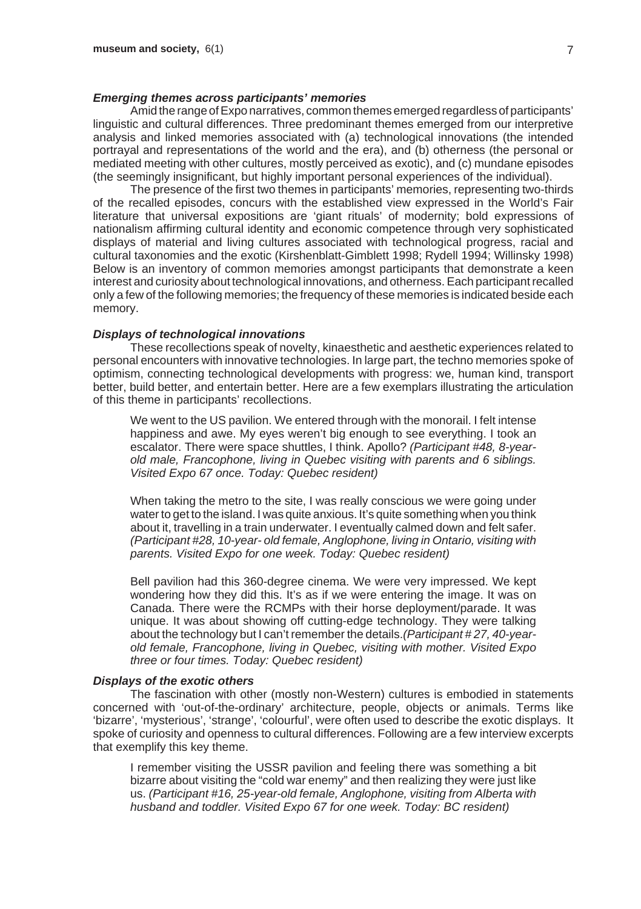## *Emerging themes across participants' memories*

Amid the range of Expo narratives, common themes emerged regardless of participants' linguistic and cultural differences. Three predominant themes emerged from our interpretive analysis and linked memories associated with (a) technological innovations (the intended portrayal and representations of the world and the era), and (b) otherness (the personal or mediated meeting with other cultures, mostly perceived as exotic), and (c) mundane episodes (the seemingly insignificant, but highly important personal experiences of the individual).

The presence of the first two themes in participants' memories, representing two-thirds of the recalled episodes, concurs with the established view expressed in the World's Fair literature that universal expositions are 'giant rituals' of modernity; bold expressions of nationalism affirming cultural identity and economic competence through very sophisticated displays of material and living cultures associated with technological progress, racial and cultural taxonomies and the exotic (Kirshenblatt-Gimblett 1998; Rydell 1994; Willinsky 1998) Below is an inventory of common memories amongst participants that demonstrate a keen interest and curiosity about technological innovations, and otherness. Each participant recalled only a few of the following memories; the frequency of these memories is indicated beside each memory.

#### *Displays of technological innovations*

These recollections speak of novelty, kinaesthetic and aesthetic experiences related to personal encounters with innovative technologies. In large part, the techno memories spoke of optimism, connecting technological developments with progress: we, human kind, transport better, build better, and entertain better. Here are a few exemplars illustrating the articulation of this theme in participants' recollections.

We went to the US pavilion. We entered through with the monorail. I felt intense happiness and awe. My eyes weren't big enough to see everything. I took an escalator. There were space shuttles, I think. Apollo? *(Participant #48, 8-yearold male, Francophone, living in Quebec visiting with parents and 6 siblings. Visited Expo 67 once. Today: Quebec resident)*

When taking the metro to the site, I was really conscious we were going under water to get to the island. I was quite anxious. It's quite something when you think about it, travelling in a train underwater. I eventually calmed down and felt safer. *(Participant #28, 10-year- old female, Anglophone, living in Ontario, visiting with parents. Visited Expo for one week. Today: Quebec resident)*

Bell pavilion had this 360-degree cinema. We were very impressed. We kept wondering how they did this. It's as if we were entering the image. It was on Canada. There were the RCMPs with their horse deployment/parade. It was unique. It was about showing off cutting-edge technology. They were talking about the technology but I can't remember the details.*(Participant # 27, 40-yearold female, Francophone, living in Quebec, visiting with mother. Visited Expo three or four times. Today: Quebec resident)*

### *Displays of the exotic others*

The fascination with other (mostly non-Western) cultures is embodied in statements concerned with 'out-of-the-ordinary' architecture, people, objects or animals. Terms like 'bizarre', 'mysterious', 'strange', 'colourful', were often used to describe the exotic displays. It spoke of curiosity and openness to cultural differences. Following are a few interview excerpts that exemplify this key theme.

I remember visiting the USSR pavilion and feeling there was something a bit bizarre about visiting the "cold war enemy" and then realizing they were just like us. *(Participant #16, 25-year-old female, Anglophone, visiting from Alberta with husband and toddler. Visited Expo 67 for one week. Today: BC resident)*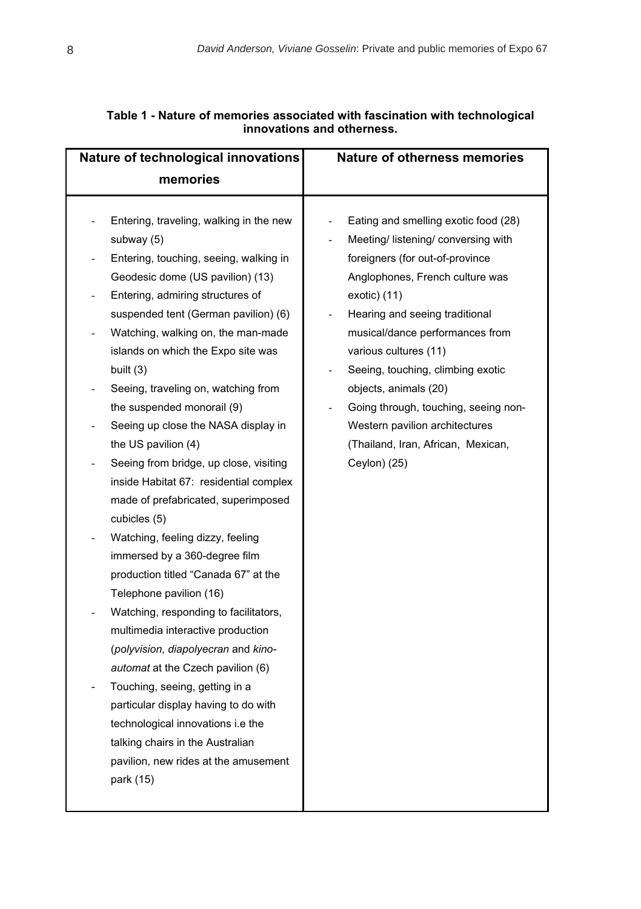| Nature of technological innovations                                                                                                                                                                                                                                                                                                                                                                                                                                                                                                                                                                                                                                                                                                                                                                                                                                                                                                                                                                                                                                                                                  | <b>Nature of otherness memories</b>                                                                                                                                                                                                                                                                                                                                                                                                                             |
|----------------------------------------------------------------------------------------------------------------------------------------------------------------------------------------------------------------------------------------------------------------------------------------------------------------------------------------------------------------------------------------------------------------------------------------------------------------------------------------------------------------------------------------------------------------------------------------------------------------------------------------------------------------------------------------------------------------------------------------------------------------------------------------------------------------------------------------------------------------------------------------------------------------------------------------------------------------------------------------------------------------------------------------------------------------------------------------------------------------------|-----------------------------------------------------------------------------------------------------------------------------------------------------------------------------------------------------------------------------------------------------------------------------------------------------------------------------------------------------------------------------------------------------------------------------------------------------------------|
| memories                                                                                                                                                                                                                                                                                                                                                                                                                                                                                                                                                                                                                                                                                                                                                                                                                                                                                                                                                                                                                                                                                                             |                                                                                                                                                                                                                                                                                                                                                                                                                                                                 |
| Entering, traveling, walking in the new<br>subway (5)<br>Entering, touching, seeing, walking in<br>Geodesic dome (US pavilion) (13)<br>Entering, admiring structures of<br>suspended tent (German pavilion) (6)<br>Watching, walking on, the man-made<br>$\blacksquare$<br>islands on which the Expo site was<br>built (3)<br>Seeing, traveling on, watching from<br>the suspended monorail (9)<br>Seeing up close the NASA display in<br>the US pavilion $(4)$<br>Seeing from bridge, up close, visiting<br>inside Habitat 67: residential complex<br>made of prefabricated, superimposed<br>cubicles (5)<br>Watching, feeling dizzy, feeling<br>immersed by a 360-degree film<br>production titled "Canada 67" at the<br>Telephone pavilion (16)<br>Watching, responding to facilitators,<br>multimedia interactive production<br>(polyvision, diapolyecran and kino-<br>automat at the Czech pavilion (6)<br>Touching, seeing, getting in a<br>particular display having to do with<br>technological innovations i.e the<br>talking chairs in the Australian<br>pavilion, new rides at the amusement<br>park (15) | Eating and smelling exotic food (28)<br>Meeting/ listening/ conversing with<br>foreigners (for out-of-province<br>Anglophones, French culture was<br>$exotic)$ (11)<br>Hearing and seeing traditional<br>musical/dance performances from<br>various cultures (11)<br>Seeing, touching, climbing exotic<br>objects, animals (20)<br>Going through, touching, seeing non-<br>Western pavilion architectures<br>(Thailand, Iran, African, Mexican,<br>Ceylon) (25) |
|                                                                                                                                                                                                                                                                                                                                                                                                                                                                                                                                                                                                                                                                                                                                                                                                                                                                                                                                                                                                                                                                                                                      |                                                                                                                                                                                                                                                                                                                                                                                                                                                                 |

# **Table 1 - Nature of memories associated with fascination with technological innovations and otherness.**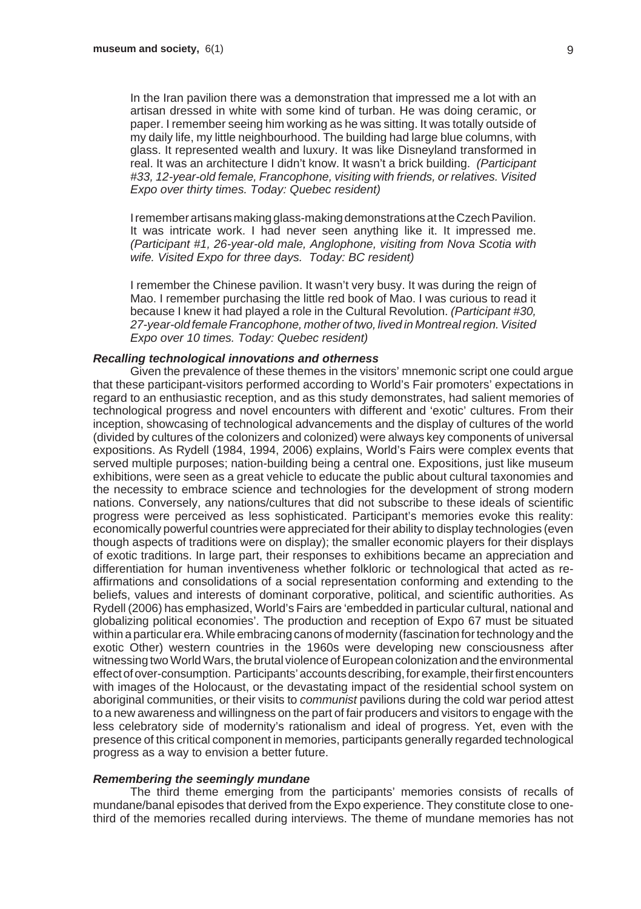In the Iran pavilion there was a demonstration that impressed me a lot with an artisan dressed in white with some kind of turban. He was doing ceramic, or paper. I remember seeing him working as he was sitting. It was totally outside of my daily life, my little neighbourhood. The building had large blue columns, with glass. It represented wealth and luxury. It was like Disneyland transformed in real. It was an architecture I didn't know. It wasn't a brick building. *(Participant #33, 12-year-old female, Francophone, visiting with friends, or relatives. Visited Expo over thirty times. Today: Quebec resident)*

I remember artisans making glass-making demonstrations at the Czech Pavilion. It was intricate work. I had never seen anything like it. It impressed me. *(Participant #1, 26-year-old male, Anglophone, visiting from Nova Scotia with wife. Visited Expo for three days. Today: BC resident)*

I remember the Chinese pavilion. It wasn't very busy. It was during the reign of Mao. I remember purchasing the little red book of Mao. I was curious to read it because I knew it had played a role in the Cultural Revolution. *(Participant #30, 27-year-old female Francophone, mother of two, lived in Montreal region. Visited Expo over 10 times. Today: Quebec resident)*

#### *Recalling technological innovations and otherness*

Given the prevalence of these themes in the visitors' mnemonic script one could argue that these participant-visitors performed according to World's Fair promoters' expectations in regard to an enthusiastic reception, and as this study demonstrates, had salient memories of technological progress and novel encounters with different and 'exotic' cultures. From their inception, showcasing of technological advancements and the display of cultures of the world (divided by cultures of the colonizers and colonized) were always key components of universal expositions. As Rydell (1984, 1994, 2006) explains, World's Fairs were complex events that served multiple purposes; nation-building being a central one. Expositions, just like museum exhibitions, were seen as a great vehicle to educate the public about cultural taxonomies and the necessity to embrace science and technologies for the development of strong modern nations. Conversely, any nations/cultures that did not subscribe to these ideals of scientific progress were perceived as less sophisticated. Participant's memories evoke this reality: economically powerful countries were appreciated for their ability to display technologies (even though aspects of traditions were on display); the smaller economic players for their displays of exotic traditions. In large part, their responses to exhibitions became an appreciation and differentiation for human inventiveness whether folkloric or technological that acted as reaffirmations and consolidations of a social representation conforming and extending to the beliefs, values and interests of dominant corporative, political, and scientific authorities. As Rydell (2006) has emphasized, World's Fairs are 'embedded in particular cultural, national and globalizing political economies'. The production and reception of Expo 67 must be situated within a particular era. While embracing canons of modernity (fascination for technology and the exotic Other) western countries in the 1960s were developing new consciousness after witnessing two World Wars, the brutal violence of European colonization and the environmental effect of over-consumption. Participants' accounts describing, for example, their first encounters with images of the Holocaust, or the devastating impact of the residential school system on aboriginal communities, or their visits to *communist* pavilions during the cold war period attest to a new awareness and willingness on the part of fair producers and visitors to engage with the less celebratory side of modernity's rationalism and ideal of progress. Yet, even with the presence of this critical component in memories, participants generally regarded technological progress as a way to envision a better future.

#### *Remembering the seemingly mundane*

The third theme emerging from the participants' memories consists of recalls of mundane/banal episodes that derived from the Expo experience. They constitute close to onethird of the memories recalled during interviews. The theme of mundane memories has not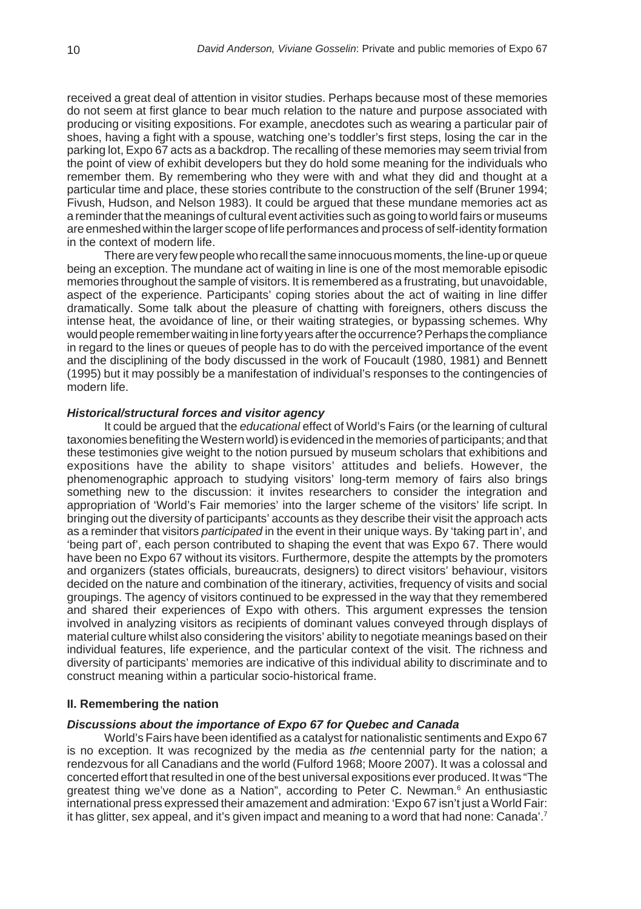received a great deal of attention in visitor studies. Perhaps because most of these memories do not seem at first glance to bear much relation to the nature and purpose associated with producing or visiting expositions. For example, anecdotes such as wearing a particular pair of shoes, having a fight with a spouse, watching one's toddler's first steps, losing the car in the parking lot, Expo 67 acts as a backdrop. The recalling of these memories may seem trivial from the point of view of exhibit developers but they do hold some meaning for the individuals who remember them. By remembering who they were with and what they did and thought at a particular time and place, these stories contribute to the construction of the self (Bruner 1994; Fivush, Hudson, and Nelson 1983). It could be argued that these mundane memories act as a reminder that the meanings of cultural event activities such as going to world fairs or museums are enmeshed within the larger scope of life performances and process of self-identity formation in the context of modern life.

There are very few people who recall the same innocuous moments, the line-up or queue being an exception. The mundane act of waiting in line is one of the most memorable episodic memories throughout the sample of visitors. It is remembered as a frustrating, but unavoidable, aspect of the experience. Participants' coping stories about the act of waiting in line differ dramatically. Some talk about the pleasure of chatting with foreigners, others discuss the intense heat, the avoidance of line, or their waiting strategies, or bypassing schemes. Why would people remember waiting in line forty years after the occurrence? Perhaps the compliance in regard to the lines or queues of people has to do with the perceived importance of the event and the disciplining of the body discussed in the work of Foucault (1980, 1981) and Bennett (1995) but it may possibly be a manifestation of individual's responses to the contingencies of modern life.

#### *Historical/structural forces and visitor agency*

It could be argued that the *educational* effect of World's Fairs (or the learning of cultural taxonomies benefiting the Western world) is evidenced in the memories of participants; and that these testimonies give weight to the notion pursued by museum scholars that exhibitions and expositions have the ability to shape visitors' attitudes and beliefs. However, the phenomenographic approach to studying visitors' long-term memory of fairs also brings something new to the discussion: it invites researchers to consider the integration and appropriation of 'World's Fair memories' into the larger scheme of the visitors' life script. In bringing out the diversity of participants' accounts as they describe their visit the approach acts as a reminder that visitors *participated* in the event in their unique ways. By 'taking part in', and 'being part of', each person contributed to shaping the event that was Expo 67. There would have been no Expo 67 without its visitors. Furthermore, despite the attempts by the promoters and organizers (states officials, bureaucrats, designers) to direct visitors' behaviour, visitors decided on the nature and combination of the itinerary, activities, frequency of visits and social groupings. The agency of visitors continued to be expressed in the way that they remembered and shared their experiences of Expo with others. This argument expresses the tension involved in analyzing visitors as recipients of dominant values conveyed through displays of material culture whilst also considering the visitors' ability to negotiate meanings based on their individual features, life experience, and the particular context of the visit. The richness and diversity of participants' memories are indicative of this individual ability to discriminate and to construct meaning within a particular socio-historical frame.

#### **II. Remembering the nation**

#### *Discussions about the importance of Expo 67 for Quebec and Canada*

World's Fairs have been identified as a catalyst for nationalistic sentiments and Expo 67 is no exception. It was recognized by the media as *the* centennial party for the nation; a rendezvous for all Canadians and the world (Fulford 1968; Moore 2007). It was a colossal and concerted effort that resulted in one of the best universal expositions ever produced. It was "The greatest thing we've done as a Nation", according to Peter C. Newman.<sup>6</sup> An enthusiastic international press expressed their amazement and admiration: 'Expo 67 isn't just a World Fair: it has glitter, sex appeal, and it's given impact and meaning to a word that had none: Canada'.<sup>7</sup>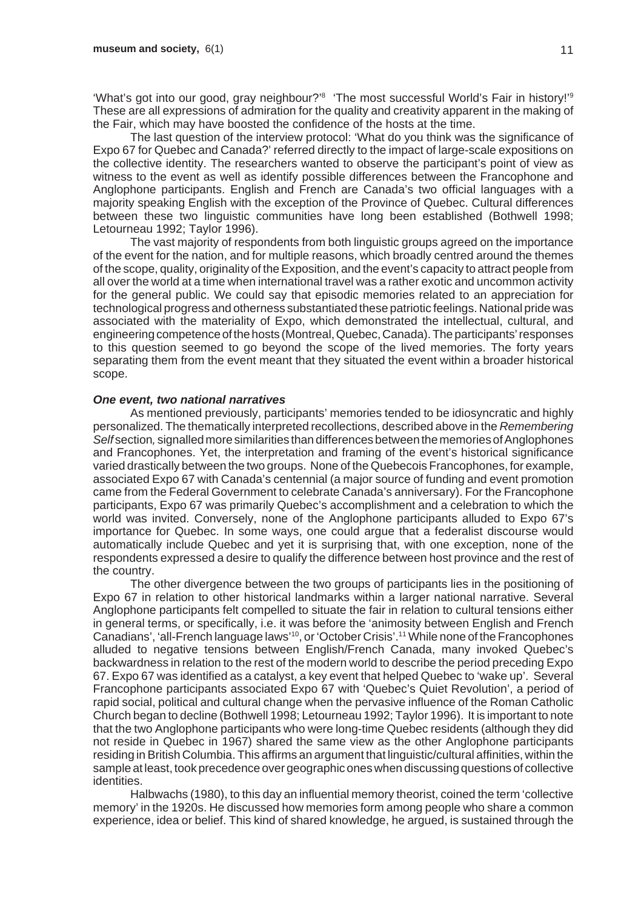"What's got into our good, gray neighbour?'<sup>8</sup> 'The most successful World's Fair in history!'<sup>9</sup> These are all expressions of admiration for the quality and creativity apparent in the making of the Fair, which may have boosted the confidence of the hosts at the time.

The last question of the interview protocol: 'What do you think was the significance of Expo 67 for Quebec and Canada?' referred directly to the impact of large-scale expositions on the collective identity. The researchers wanted to observe the participant's point of view as witness to the event as well as identify possible differences between the Francophone and Anglophone participants. English and French are Canada's two official languages with a majority speaking English with the exception of the Province of Quebec. Cultural differences between these two linguistic communities have long been established (Bothwell 1998; Letourneau 1992; Taylor 1996).

The vast majority of respondents from both linguistic groups agreed on the importance of the event for the nation, and for multiple reasons, which broadly centred around the themes of the scope, quality, originality of the Exposition, and the event's capacity to attract people from all over the world at a time when international travel was a rather exotic and uncommon activity for the general public. We could say that episodic memories related to an appreciation for technological progress and otherness substantiated these patriotic feelings. National pride was associated with the materiality of Expo, which demonstrated the intellectual, cultural, and engineering competence of the hosts (Montreal, Quebec, Canada). The participants' responses to this question seemed to go beyond the scope of the lived memories. The forty years separating them from the event meant that they situated the event within a broader historical scope.

#### *One event, two national narratives*

As mentioned previously, participants' memories tended to be idiosyncratic and highly personalized. The thematically interpreted recollections, described above in the *Remembering Self* section*,* signalled more similarities than differences between the memories of Anglophones and Francophones. Yet, the interpretation and framing of the event's historical significance varied drastically between the two groups. None of the Quebecois Francophones, for example, associated Expo 67 with Canada's centennial (a major source of funding and event promotion came from the Federal Government to celebrate Canada's anniversary). For the Francophone participants, Expo 67 was primarily Quebec's accomplishment and a celebration to which the world was invited. Conversely, none of the Anglophone participants alluded to Expo 67's importance for Quebec. In some ways, one could argue that a federalist discourse would automatically include Quebec and yet it is surprising that, with one exception, none of the respondents expressed a desire to qualify the difference between host province and the rest of the country.

The other divergence between the two groups of participants lies in the positioning of Expo 67 in relation to other historical landmarks within a larger national narrative. Several Anglophone participants felt compelled to situate the fair in relation to cultural tensions either in general terms, or specifically, i.e. it was before the 'animosity between English and French Canadians', 'all-French language laws'10, or 'October Crisis'.11 While none of the Francophones alluded to negative tensions between English/French Canada, many invoked Quebec's backwardness in relation to the rest of the modern world to describe the period preceding Expo 67. Expo 67 was identified as a catalyst, a key event that helped Quebec to 'wake up'. Several Francophone participants associated Expo 67 with 'Quebec's Quiet Revolution', a period of rapid social, political and cultural change when the pervasive influence of the Roman Catholic Church began to decline (Bothwell 1998; Letourneau 1992; Taylor 1996). It is important to note that the two Anglophone participants who were long-time Quebec residents (although they did not reside in Quebec in 1967) shared the same view as the other Anglophone participants residing in British Columbia. This affirms an argument that linguistic/cultural affinities, within the sample at least, took precedence over geographic ones when discussing questions of collective identities.

Halbwachs (1980), to this day an influential memory theorist, coined the term 'collective memory' in the 1920s. He discussed how memories form among people who share a common experience, idea or belief. This kind of shared knowledge, he argued, is sustained through the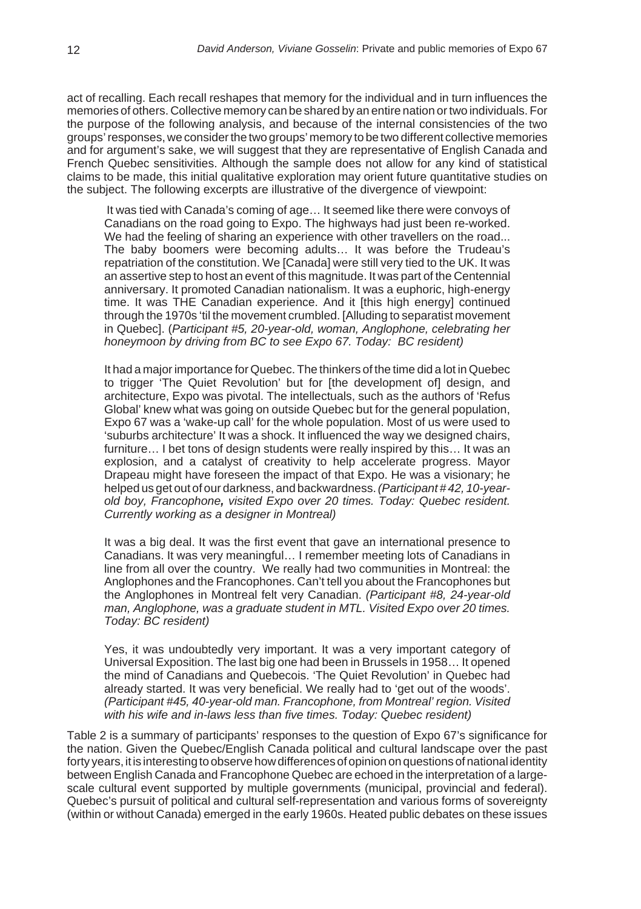act of recalling. Each recall reshapes that memory for the individual and in turn influences the memories of others. Collective memory can be shared by an entire nation or two individuals. For the purpose of the following analysis, and because of the internal consistencies of the two groups' responses, we consider the two groups' memory to be two different collective memories and for argument's sake, we will suggest that they are representative of English Canada and French Quebec sensitivities. Although the sample does not allow for any kind of statistical claims to be made, this initial qualitative exploration may orient future quantitative studies on the subject. The following excerpts are illustrative of the divergence of viewpoint:

 It was tied with Canada's coming of age… It seemed like there were convoys of Canadians on the road going to Expo. The highways had just been re-worked. We had the feeling of sharing an experience with other travellers on the road... The baby boomers were becoming adults… It was before the Trudeau's repatriation of the constitution. We [Canada] were still very tied to the UK. It was an assertive step to host an event of this magnitude. It was part of the Centennial anniversary. It promoted Canadian nationalism. It was a euphoric, high-energy time. It was THE Canadian experience. And it [this high energy] continued through the 1970s 'til the movement crumbled. [Alluding to separatist movement in Quebec]. (*Participant #5, 20-year-old, woman, Anglophone, celebrating her honeymoon by driving from BC to see Expo 67. Today: BC resident)*

It had a major importance for Quebec. The thinkers of the time did a lot in Quebec to trigger 'The Quiet Revolution' but for [the development of] design, and architecture, Expo was pivotal. The intellectuals, such as the authors of 'Refus Global' knew what was going on outside Quebec but for the general population, Expo 67 was a 'wake-up call' for the whole population. Most of us were used to 'suburbs architecture' It was a shock. It influenced the way we designed chairs, furniture… I bet tons of design students were really inspired by this… It was an explosion, and a catalyst of creativity to help accelerate progress. Mayor Drapeau might have foreseen the impact of that Expo. He was a visionary; he helped us get out of our darkness, and backwardness. *(Participant # 42, 10-yearold boy, Francophone, visited Expo over 20 times. Today: Quebec resident. Currently working as a designer in Montreal)*

It was a big deal. It was the first event that gave an international presence to Canadians. It was very meaningful… I remember meeting lots of Canadians in line from all over the country. We really had two communities in Montreal: the Anglophones and the Francophones. Can't tell you about the Francophones but the Anglophones in Montreal felt very Canadian. *(Participant #8, 24-year-old man, Anglophone, was a graduate student in MTL. Visited Expo over 20 times. Today: BC resident)*

Yes, it was undoubtedly very important. It was a very important category of Universal Exposition. The last big one had been in Brussels in 1958… It opened the mind of Canadians and Quebecois. 'The Quiet Revolution' in Quebec had already started. It was very beneficial. We really had to 'get out of the woods'. *(Participant #45, 40-year-old man. Francophone, from Montreal' region. Visited with his wife and in-laws less than five times. Today: Quebec resident)*

Table 2 is a summary of participants' responses to the question of Expo 67's significance for the nation. Given the Quebec/English Canada political and cultural landscape over the past forty years, it is interesting to observe how differences of opinion on questions of national identity between English Canada and Francophone Quebec are echoed in the interpretation of a largescale cultural event supported by multiple governments (municipal, provincial and federal). Quebec's pursuit of political and cultural self-representation and various forms of sovereignty (within or without Canada) emerged in the early 1960s. Heated public debates on these issues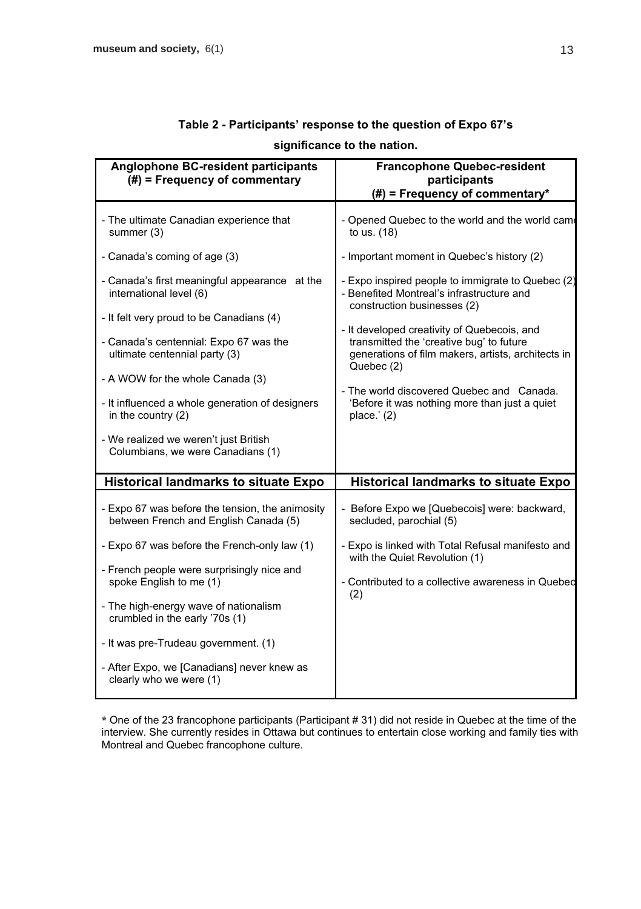| Anglophone BC-resident participants<br>$(\#)$ = Frequency of commentary                  | <b>Francophone Quebec-resident</b><br>participants<br>$#$ ) = Frequency of commentary*                                        |
|------------------------------------------------------------------------------------------|-------------------------------------------------------------------------------------------------------------------------------|
| - The ultimate Canadian experience that<br>summer (3)                                    | - Opened Quebec to the world and the world came<br>to us. (18)                                                                |
| - Canada's coming of age (3)                                                             | - Important moment in Quebec's history (2)                                                                                    |
| - Canada's first meaningful appearance at the<br>international level (6)                 | - Expo inspired people to immigrate to Quebec (2)<br>- Benefited Montreal's infrastructure and<br>construction businesses (2) |
| - It felt very proud to be Canadians (4)                                                 | - It developed creativity of Quebecois, and                                                                                   |
| - Canada's centennial: Expo 67 was the<br>ultimate centennial party (3)                  | transmitted the 'creative bug' to future<br>generations of film makers, artists, architects in<br>Quebec (2)                  |
| - A WOW for the whole Canada (3)                                                         |                                                                                                                               |
| - It influenced a whole generation of designers<br>in the country (2)                    | - The world discovered Quebec and Canada.<br>'Before it was nothing more than just a quiet<br>place. $'(2)$                   |
| - We realized we weren't just British<br>Columbians, we were Canadians (1)               |                                                                                                                               |
| <b>Historical landmarks to situate Expo</b>                                              | <b>Historical landmarks to situate Expo</b>                                                                                   |
| - Expo 67 was before the tension, the animosity<br>between French and English Canada (5) | - Before Expo we [Quebecois] were: backward,<br>secluded, parochial (5)                                                       |
| - Expo 67 was before the French-only law (1)                                             | - Expo is linked with Total Refusal manifesto and<br>with the Quiet Revolution (1)                                            |
| - French people were surprisingly nice and<br>spoke English to me (1)                    | - Contributed to a collective awareness in Quebed                                                                             |
| - The high-energy wave of nationalism<br>crumbled in the early '70s (1)                  | (2)                                                                                                                           |
| - It was pre-Trudeau government. (1)                                                     |                                                                                                                               |
| - After Expo, we [Canadians] never knew as<br>clearly who we were (1)                    |                                                                                                                               |

# **Table 2 - Participants' response to the question of Expo 67's significance to the nation.**

**\*** One of the 23 francophone participants (Participant # 31) did not reside in Quebec at the time of the interview. She currently resides in Ottawa but continues to entertain close working and family ties with Montreal and Quebec francophone culture.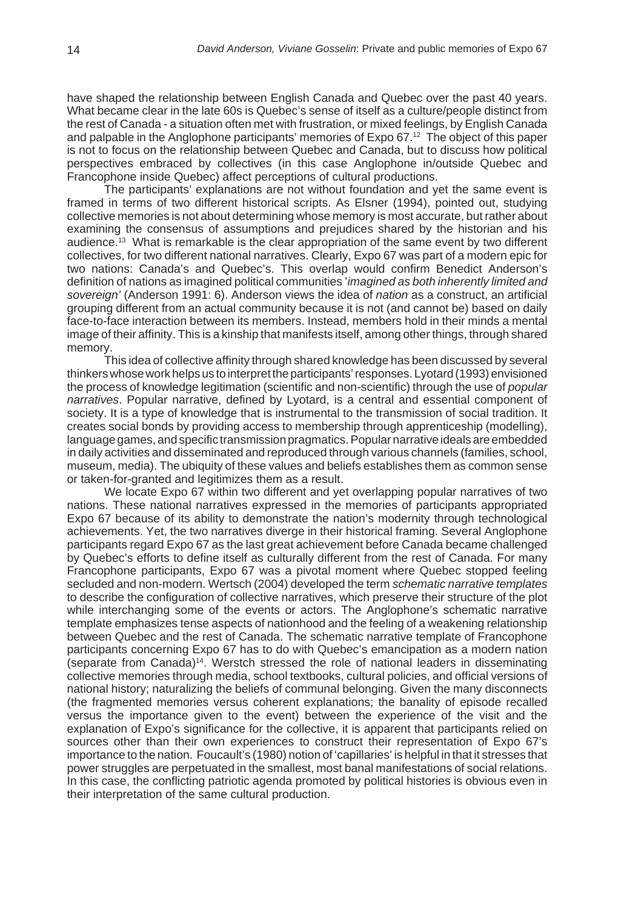have shaped the relationship between English Canada and Quebec over the past 40 years. What became clear in the late 60s is Quebec's sense of itself as a culture/people distinct from the rest of Canada - a situation often met with frustration, or mixed feelings, by English Canada and palpable in the Anglophone participants' memories of Expo 67.12 The object of this paper is not to focus on the relationship between Quebec and Canada, but to discuss how political perspectives embraced by collectives (in this case Anglophone in/outside Quebec and Francophone inside Quebec) affect perceptions of cultural productions.

The participants' explanations are not without foundation and yet the same event is framed in terms of two different historical scripts. As Elsner (1994), pointed out, studying collective memories is not about determining whose memory is most accurate, but rather about examining the consensus of assumptions and prejudices shared by the historian and his audience.13 What is remarkable is the clear appropriation of the same event by two different collectives, for two different national narratives. Clearly, Expo 67 was part of a modern epic for two nations: Canada's and Quebec's. This overlap would confirm Benedict Anderson's definition of nations as imagined political communities '*imagined as both inherently limited and sovereign'* (Anderson 1991: 6). Anderson views the idea of *nation* as a construct, an artificial grouping different from an actual community because it is not (and cannot be) based on daily face-to-face interaction between its members. Instead, members hold in their minds a mental image of their affinity. This is a kinship that manifests itself, among other things, through shared memory.

This idea of collective affinity through shared knowledge has been discussed by several thinkers whose work helps us to interpret the participants' responses. Lyotard (1993) envisioned the process of knowledge legitimation (scientific and non-scientific) through the use of *popular narratives*. Popular narrative, defined by Lyotard, is a central and essential component of society. It is a type of knowledge that is instrumental to the transmission of social tradition. It creates social bonds by providing access to membership through apprenticeship (modelling), language games, and specific transmission pragmatics. Popular narrative ideals are embedded in daily activities and disseminated and reproduced through various channels (families, school, museum, media). The ubiquity of these values and beliefs establishes them as common sense or taken-for-granted and legitimizes them as a result.

We locate Expo 67 within two different and yet overlapping popular narratives of two nations. These national narratives expressed in the memories of participants appropriated Expo 67 because of its ability to demonstrate the nation's modernity through technological achievements. Yet, the two narratives diverge in their historical framing. Several Anglophone participants regard Expo 67 as the last great achievement before Canada became challenged by Quebec's efforts to define itself as culturally different from the rest of Canada. For many Francophone participants, Expo 67 was a pivotal moment where Quebec stopped feeling secluded and non-modern. Wertsch (2004) developed the term *schematic narrative templates* to describe the configuration of collective narratives, which preserve their structure of the plot while interchanging some of the events or actors. The Anglophone's schematic narrative template emphasizes tense aspects of nationhood and the feeling of a weakening relationship between Quebec and the rest of Canada. The schematic narrative template of Francophone participants concerning Expo 67 has to do with Quebec's emancipation as a modern nation (separate from Canada)14. Werstch stressed the role of national leaders in disseminating collective memories through media, school textbooks, cultural policies, and official versions of national history; naturalizing the beliefs of communal belonging. Given the many disconnects (the fragmented memories versus coherent explanations; the banality of episode recalled versus the importance given to the event) between the experience of the visit and the explanation of Expo's significance for the collective, it is apparent that participants relied on sources other than their own experiences to construct their representation of Expo 67's importance to the nation. Foucault's (1980) notion of 'capillaries' is helpful in that it stresses that power struggles are perpetuated in the smallest, most banal manifestations of social relations. In this case, the conflicting patriotic agenda promoted by political histories is obvious even in their interpretation of the same cultural production.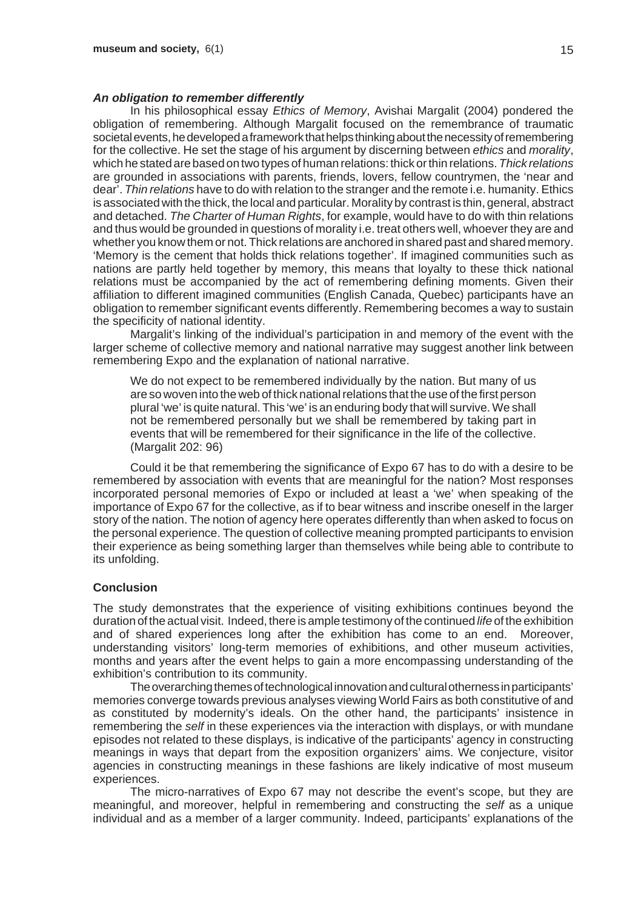#### *An obligation to remember differently*

In his philosophical essay *Ethics of Memory*, Avishai Margalit (2004) pondered the obligation of remembering. Although Margalit focused on the remembrance of traumatic societal events, he developed a framework that helps thinking about the necessity of remembering for the collective. He set the stage of his argument by discerning between *ethics* and *morality*, which he stated are based on two types of human relations: thick or thin relations. *Thick relations* are grounded in associations with parents, friends, lovers, fellow countrymen, the 'near and dear'. *Thin relations* have to do with relation to the stranger and the remote i.e. humanity. Ethics is associated with the thick, the local and particular. Morality by contrast is thin, general, abstract and detached. *The Charter of Human Rights*, for example, would have to do with thin relations and thus would be grounded in questions of morality i.e. treat others well, whoever they are and whether you know them or not. Thick relations are anchored in shared past and shared memory. 'Memory is the cement that holds thick relations together'. If imagined communities such as nations are partly held together by memory, this means that loyalty to these thick national relations must be accompanied by the act of remembering defining moments. Given their affiliation to different imagined communities (English Canada, Quebec) participants have an obligation to remember significant events differently. Remembering becomes a way to sustain the specificity of national identity.

Margalit's linking of the individual's participation in and memory of the event with the larger scheme of collective memory and national narrative may suggest another link between remembering Expo and the explanation of national narrative.

We do not expect to be remembered individually by the nation. But many of us are so woven into the web of thick national relations that the use of the first person plural 'we' is quite natural. This 'we' is an enduring body that will survive. We shall not be remembered personally but we shall be remembered by taking part in events that will be remembered for their significance in the life of the collective. (Margalit 202: 96)

Could it be that remembering the significance of Expo 67 has to do with a desire to be remembered by association with events that are meaningful for the nation? Most responses incorporated personal memories of Expo or included at least a 'we' when speaking of the importance of Expo 67 for the collective, as if to bear witness and inscribe oneself in the larger story of the nation. The notion of agency here operates differently than when asked to focus on the personal experience. The question of collective meaning prompted participants to envision their experience as being something larger than themselves while being able to contribute to its unfolding.

#### **Conclusion**

The study demonstrates that the experience of visiting exhibitions continues beyond the duration of the actual visit. Indeed, there is ample testimony of the continued *life* of the exhibition and of shared experiences long after the exhibition has come to an end. Moreover, understanding visitors' long-term memories of exhibitions, and other museum activities, months and years after the event helps to gain a more encompassing understanding of the exhibition's contribution to its community.

The overarching themes of technological innovation and cultural otherness in participants' memories converge towards previous analyses viewing World Fairs as both constitutive of and as constituted by modernity's ideals. On the other hand, the participants' insistence in remembering the *self* in these experiences via the interaction with displays, or with mundane episodes not related to these displays, is indicative of the participants' agency in constructing meanings in ways that depart from the exposition organizers' aims. We conjecture, visitor agencies in constructing meanings in these fashions are likely indicative of most museum experiences.

The micro-narratives of Expo 67 may not describe the event's scope, but they are meaningful, and moreover, helpful in remembering and constructing the *self* as a unique individual and as a member of a larger community. Indeed, participants' explanations of the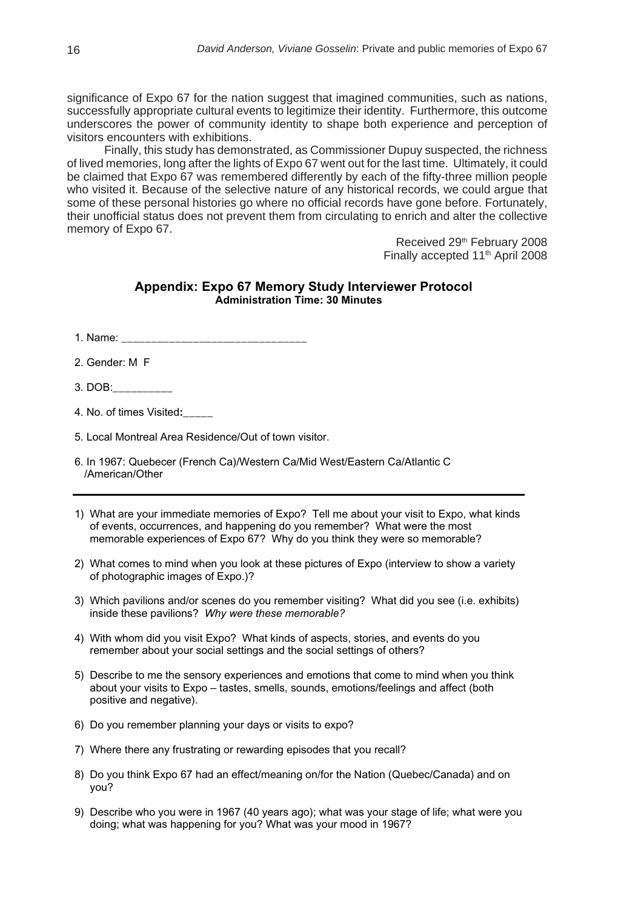significance of Expo 67 for the nation suggest that imagined communities, such as nations, successfully appropriate cultural events to legitimize their identity. Furthermore, this outcome underscores the power of community identity to shape both experience and perception of visitors encounters with exhibitions.

Finally, this study has demonstrated, as Commissioner Dupuy suspected, the richness of lived memories, long after the lights of Expo 67 went out for the last time. Ultimately, it could be claimed that Expo 67 was remembered differently by each of the fifty-three million people who visited it. Because of the selective nature of any historical records, we could argue that some of these personal histories go where no official records have gone before. Fortunately, their unofficial status does not prevent them from circulating to enrich and alter the collective memory of Expo 67.

> Received 29th February 2008 Finally accepted 11<sup>th</sup> April 2008

#### **Appendix: Expo 67 Memory Study Interviewer Protocol Administration Time: 30 Minutes**

- 1. Name: \_\_\_\_\_\_\_\_\_\_\_\_\_\_\_\_\_\_\_\_\_\_\_\_\_\_\_\_\_\_\_
- 2. Gender: M F
- 3. DOB:\_\_\_\_\_\_\_\_\_\_
- 4. No. of times Visited**:\_\_\_\_\_**

5. Local Montreal Area Residence/Out of town visitor.

- 6. In 1967: Quebecer (French Ca)/Western Ca/Mid West/Eastern Ca/Atlantic C /American/Other
- 1) What are your immediate memories of Expo? Tell me about your visit to Expo, what kinds of events, occurrences, and happening do you remember? What were the most memorable experiences of Expo 67? Why do you think they were so memorable?
- 2) What comes to mind when you look at these pictures of Expo (interview to show a variety of photographic images of Expo.)?
- 3) Which pavilions and/or scenes do you remember visiting? What did you see (i.e. exhibits) inside these pavilions? *Why were these memorable?*
- 4) With whom did you visit Expo? What kinds of aspects, stories, and events do you remember about your social settings and the social settings of others?
- 5) Describe to me the sensory experiences and emotions that come to mind when you think about your visits to Expo – tastes, smells, sounds, emotions/feelings and affect (both positive and negative).
- 6) Do you remember planning your days or visits to expo?
- 7) Where there any frustrating or rewarding episodes that you recall?
- 8) Do you think Expo 67 had an effect/meaning on/for the Nation (Quebec/Canada) and on you?
- 9) Describe who you were in 1967 (40 years ago); what was your stage of life; what were you doing; what was happening for you? What was your mood in 1967?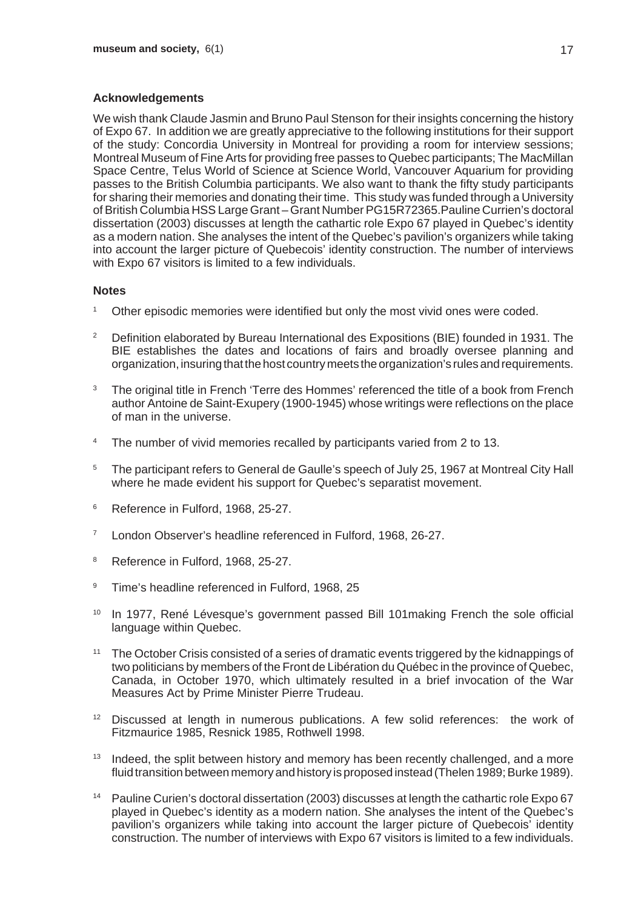# **Acknowledgements**

We wish thank Claude Jasmin and Bruno Paul Stenson for their insights concerning the history of Expo 67. In addition we are greatly appreciative to the following institutions for their support of the study: Concordia University in Montreal for providing a room for interview sessions; Montreal Museum of Fine Arts for providing free passes to Quebec participants; The MacMillan Space Centre, Telus World of Science at Science World, Vancouver Aquarium for providing passes to the British Columbia participants. We also want to thank the fifty study participants for sharing their memories and donating their time. This study was funded through a University of British Columbia HSS Large Grant – Grant Number PG15R72365.Pauline Currien's doctoral dissertation (2003) discusses at length the cathartic role Expo 67 played in Quebec's identity as a modern nation. She analyses the intent of the Quebec's pavilion's organizers while taking into account the larger picture of Quebecois' identity construction. The number of interviews with Expo 67 visitors is limited to a few individuals.

## **Notes**

- Other episodic memories were identified but only the most vivid ones were coded.
- <sup>2</sup> Definition elaborated by Bureau International des Expositions (BIE) founded in 1931. The BIE establishes the dates and locations of fairs and broadly oversee planning and organization, insuring that the host country meets the organization's rules and requirements.
- <sup>3</sup> The original title in French 'Terre des Hommes' referenced the title of a book from French author Antoine de Saint-Exupery (1900-1945) whose writings were reflections on the place of man in the universe.
- <sup>4</sup> The number of vivid memories recalled by participants varied from 2 to 13.
- <sup>5</sup> The participant refers to General de Gaulle's speech of July 25, 1967 at Montreal City Hall where he made evident his support for Quebec's separatist movement.
- <sup>6</sup> Reference in Fulford, 1968, 25-27.
- <sup>7</sup> London Observer's headline referenced in Fulford, 1968, 26-27.
- <sup>8</sup> Reference in Fulford, 1968, 25-27.
- <sup>9</sup> Time's headline referenced in Fulford, 1968, 25
- <sup>10</sup> In 1977, René Lévesque's government passed Bill 101 making French the sole official language within Quebec.
- <sup>11</sup> The October Crisis consisted of a series of dramatic events triggered by the kidnappings of two politicians by members of the Front de Libération du Québec in the province of Quebec, Canada, in October 1970, which ultimately resulted in a brief invocation of the War Measures Act by Prime Minister Pierre Trudeau.
- <sup>12</sup> Discussed at length in numerous publications. A few solid references: the work of Fitzmaurice 1985, Resnick 1985, Rothwell 1998.
- <sup>13</sup> Indeed, the split between history and memory has been recently challenged, and a more fluid transition between memory and history is proposed instead (Thelen 1989; Burke 1989).
- <sup>14</sup> Pauline Curien's doctoral dissertation (2003) discusses at length the cathartic role Expo 67 played in Quebec's identity as a modern nation. She analyses the intent of the Quebec's pavilion's organizers while taking into account the larger picture of Quebecois' identity construction. The number of interviews with Expo 67 visitors is limited to a few individuals.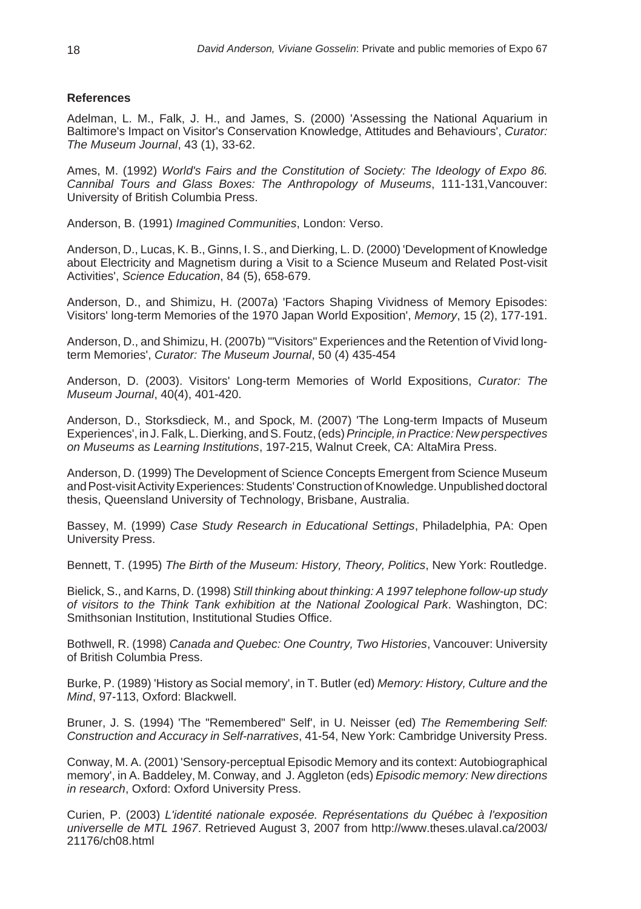## **References**

Adelman, L. M., Falk, J. H., and James, S. (2000) 'Assessing the National Aquarium in Baltimore's Impact on Visitor's Conservation Knowledge, Attitudes and Behaviours', *Curator: The Museum Journal*, 43 (1), 33-62.

Ames, M. (1992) *World's Fairs and the Constitution of Society: The Ideology of Expo 86. Cannibal Tours and Glass Boxes: The Anthropology of Museums*, 111-131,Vancouver: University of British Columbia Press.

Anderson, B. (1991) *Imagined Communities*, London: Verso.

Anderson, D., Lucas, K. B., Ginns, I. S., and Dierking, L. D. (2000) 'Development of Knowledge about Electricity and Magnetism during a Visit to a Science Museum and Related Post-visit Activities', *Science Education*, 84 (5), 658-679.

Anderson, D., and Shimizu, H. (2007a) 'Factors Shaping Vividness of Memory Episodes: Visitors' long-term Memories of the 1970 Japan World Exposition', *Memory*, 15 (2), 177-191.

Anderson, D., and Shimizu, H. (2007b) '"Visitors" Experiences and the Retention of Vivid longterm Memories', *Curator: The Museum Journal*, 50 (4) 435-454

Anderson, D. (2003). Visitors' Long-term Memories of World Expositions, *Curator: The Museum Journal*, 40(4), 401-420.

Anderson, D., Storksdieck, M., and Spock, M. (2007) 'The Long-term Impacts of Museum Experiences', in J. Falk, L. Dierking, and S. Foutz, (eds) *Principle, in Practice: New perspectives on Museums as Learning Institutions*, 197-215, Walnut Creek, CA: AltaMira Press.

Anderson, D. (1999) The Development of Science Concepts Emergent from Science Museum and Post-visit Activity Experiences: Students' Construction of Knowledge. Unpublished doctoral thesis, Queensland University of Technology, Brisbane, Australia.

Bassey, M. (1999) *Case Study Research in Educational Settings*, Philadelphia, PA: Open University Press.

Bennett, T. (1995) *The Birth of the Museum: History, Theory, Politics*, New York: Routledge.

Bielick, S., and Karns, D. (1998) *Still thinking about thinking: A 1997 telephone follow-up study of visitors to the Think Tank exhibition at the National Zoological Park*. Washington, DC: Smithsonian Institution, Institutional Studies Office.

Bothwell, R. (1998) *Canada and Quebec: One Country, Two Histories*, Vancouver: University of British Columbia Press.

Burke, P. (1989) 'History as Social memory', in T. Butler (ed) *Memory: History, Culture and the Mind*, 97-113, Oxford: Blackwell.

Bruner, J. S. (1994) 'The "Remembered" Self', in U. Neisser (ed) *The Remembering Self: Construction and Accuracy in Self-narratives*, 41-54, New York: Cambridge University Press.

Conway, M. A. (2001) 'Sensory-perceptual Episodic Memory and its context: Autobiographical memory', in A. Baddeley, M. Conway, and J. Aggleton (eds) *Episodic memory: New directions in research*, Oxford: Oxford University Press.

Curien, P. (2003) *L'identité nationale exposée. Représentations du Québec à l'exposition universelle de MTL 1967*. Retrieved August 3, 2007 from http://www.theses.ulaval.ca/2003/ 21176/ch08.html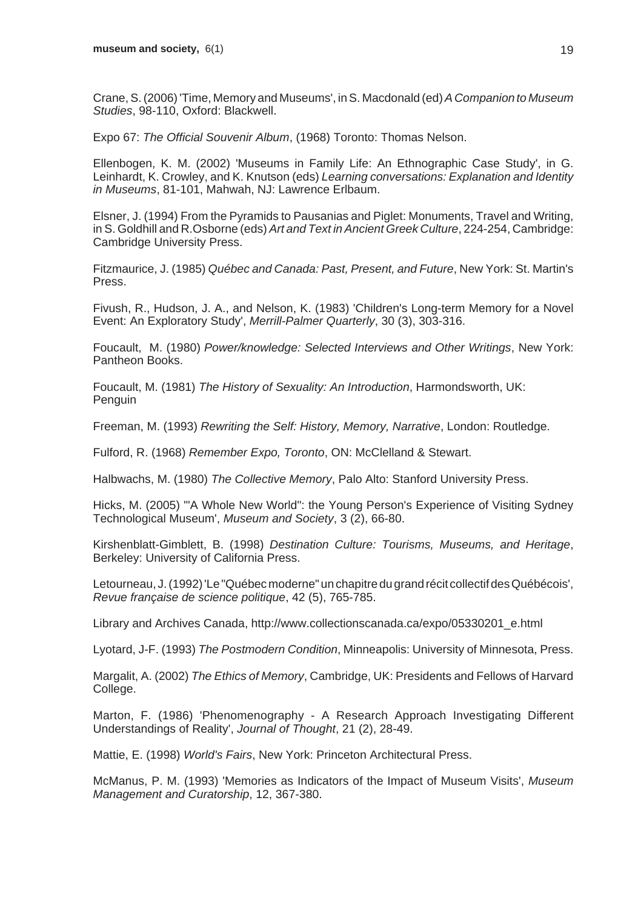Crane, S. (2006) 'Time, Memory and Museums', in S. Macdonald (ed) *A Companion to Museum Studies*, 98-110, Oxford: Blackwell.

Expo 67: *The Official Souvenir Album*, (1968) Toronto: Thomas Nelson.

Ellenbogen, K. M. (2002) 'Museums in Family Life: An Ethnographic Case Study', in G. Leinhardt, K. Crowley, and K. Knutson (eds) *Learning conversations: Explanation and Identity in Museums*, 81-101, Mahwah, NJ: Lawrence Erlbaum.

Elsner, J. (1994) From the Pyramids to Pausanias and Piglet: Monuments, Travel and Writing, in S. Goldhill and R.Osborne (eds) *Art and Text in Ancient Greek Culture*, 224-254, Cambridge: Cambridge University Press.

Fitzmaurice, J. (1985) *Québec and Canada: Past, Present, and Future*, New York: St. Martin's Press.

Fivush, R., Hudson, J. A., and Nelson, K. (1983) 'Children's Long-term Memory for a Novel Event: An Exploratory Study', *Merrill-Palmer Quarterly*, 30 (3), 303-316.

Foucault, M. (1980) *Power/knowledge: Selected Interviews and Other Writings*, New York: Pantheon Books.

Foucault, M. (1981) *The History of Sexuality: An Introduction*, Harmondsworth, UK: **Penguin** 

Freeman, M. (1993) *Rewriting the Self: History, Memory, Narrative*, London: Routledge.

Fulford, R. (1968) *Remember Expo, Toronto*, ON: McClelland & Stewart.

Halbwachs, M. (1980) *The Collective Memory*, Palo Alto: Stanford University Press.

Hicks, M. (2005) '"A Whole New World": the Young Person's Experience of Visiting Sydney Technological Museum', *Museum and Society*, 3 (2), 66-80.

Kirshenblatt-Gimblett, B. (1998) *Destination Culture: Tourisms, Museums, and Heritage*, Berkeley: University of California Press.

Letourneau, J. (1992)'Le "Québec moderne" un chapitre du grand récit collectif des Québécois', *Revue française de science politique*, 42 (5), 765-785.

Library and Archives Canada, http://www.collectionscanada.ca/expo/05330201\_e.html

Lyotard, J-F. (1993) *The Postmodern Condition*, Minneapolis: University of Minnesota, Press.

Margalit, A. (2002) *The Ethics of Memory*, Cambridge, UK: Presidents and Fellows of Harvard College.

Marton, F. (1986) 'Phenomenography - A Research Approach Investigating Different Understandings of Reality', *Journal of Thought*, 21 (2), 28-49.

Mattie, E. (1998) *World's Fairs*, New York: Princeton Architectural Press.

McManus, P. M. (1993) 'Memories as Indicators of the Impact of Museum Visits', *Museum Management and Curatorship*, 12, 367-380.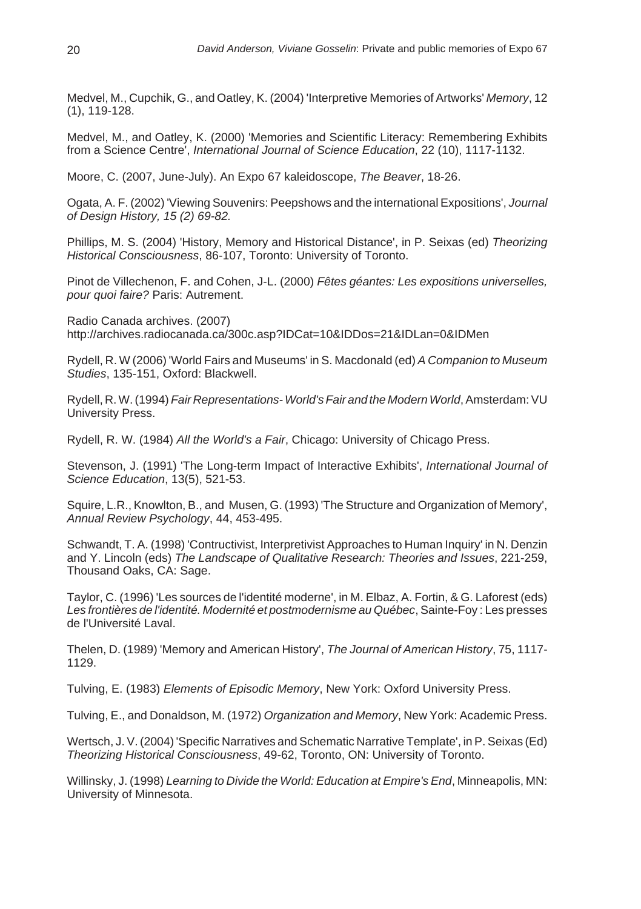Medvel, M., Cupchik, G., and Oatley, K. (2004) 'Interpretive Memories of Artworks' *Memory*, 12 (1), 119-128.

Medvel, M., and Oatley, K. (2000) 'Memories and Scientific Literacy: Remembering Exhibits from a Science Centre', *International Journal of Science Education*, 22 (10), 1117-1132.

Moore, C. (2007, June-July). An Expo 67 kaleidoscope, *The Beaver*, 18-26.

Ogata, A. F. (2002) 'Viewing Souvenirs: Peepshows and the international Expositions', *Journal of Design History, 15 (2) 69-82.*

Phillips, M. S. (2004) 'History, Memory and Historical Distance', in P. Seixas (ed) *Theorizing Historical Consciousness*, 86-107, Toronto: University of Toronto.

Pinot de Villechenon, F. and Cohen, J-L. (2000) *Fêtes géantes: Les expositions universelles, pour quoi faire?* Paris: Autrement.

Radio Canada archives. (2007) http://archives.radiocanada.ca/300c.asp?IDCat=10&IDDos=21&IDLan=0&IDMen

Rydell, R. W (2006) 'World Fairs and Museums' in S. Macdonald (ed) *A Companion to Museum Studies*, 135-151, Oxford: Blackwell.

Rydell, R. W. (1994) *Fair Representations- World's Fair and the Modern World*, Amsterdam: VU University Press.

Rydell, R. W. (1984) *All the World's a Fair*, Chicago: University of Chicago Press.

Stevenson, J. (1991) 'The Long-term Impact of Interactive Exhibits', *International Journal of Science Education*, 13(5), 521-53.

Squire, L.R., Knowlton, B., and Musen, G. (1993) 'The Structure and Organization of Memory', *Annual Review Psychology*, 44, 453-495.

Schwandt, T. A. (1998) 'Contructivist, Interpretivist Approaches to Human Inquiry' in N. Denzin and Y. Lincoln (eds) *The Landscape of Qualitative Research: Theories and Issues*, 221-259, Thousand Oaks, CA: Sage.

Taylor, C. (1996) 'Les sources de l'identité moderne', in M. Elbaz, A. Fortin, & G. Laforest (eds) *Les frontières de l'identité. Modernité et postmodernisme au Québec*, Sainte-Foy : Les presses de l'Université Laval.

Thelen, D. (1989) 'Memory and American History', *The Journal of American History*, 75, 1117- 1129.

Tulving, E. (1983) *Elements of Episodic Memory*, New York: Oxford University Press.

Tulving, E., and Donaldson, M. (1972) *Organization and Memory*, New York: Academic Press.

Wertsch, J. V. (2004) 'Specific Narratives and Schematic Narrative Template', in P. Seixas (Ed) *Theorizing Historical Consciousness*, 49-62, Toronto, ON: University of Toronto.

Willinsky, J. (1998) *Learning to Divide the World: Education at Empire's End*, Minneapolis, MN: University of Minnesota.